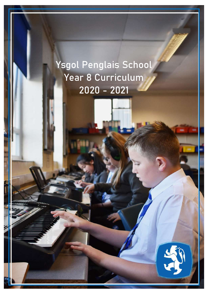# Ysgol Penglais School Year 8 Curriculum 2020 - 2021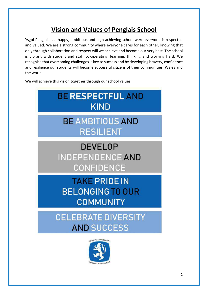# **Vision and Values of Penglais School**

Ysgol Penglais is a happy, ambitious and high achieving school were everyone is respected and valued. We are a strong community where everyone cares for each other, knowing that only through collaboration and respect will we achieve and become our very best. The school is vibrant with student and staff co-operating, learning, thinking and working hard. We recognise that overcoming challenges is key to success and by developing bravery, confidence and resilience our students will become successful citizens of their communities, Wales and the world.

We will achieve this vision together through our school values:



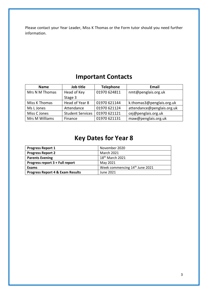Please contact your Year Leader, Miss K Thomas or the Form tutor should you need further information.

### **Important Contacts**

| <b>Name</b>    | Job title<br><b>Telephone</b> |              | <b>Email</b>               |
|----------------|-------------------------------|--------------|----------------------------|
| Mrs N M Thomas | Head of Key                   | 01970 624811 | nmt@penglais.org.uk        |
|                | Stage 3                       |              |                            |
| Miss K Thomas  | Head of Year 8                | 01970 621144 | k.thomas3@penglais.org.uk  |
| Ms L Jones     | Attendance                    | 01970 621124 | attendance@penglais.org.uk |
| Miss C Jones   | <b>Student Services</b>       | 01970 621121 | cej@penglais.org.uk        |
| Mrs M Williams | Finance                       | 01970 621131 | maw@penglais.org.uk        |

# **Key Dates for Year 8**

| <b>Progress Report 1</b>                    | November 2020                              |
|---------------------------------------------|--------------------------------------------|
| <b>Progress Report 2</b>                    | <b>March 2021</b>                          |
| <b>Parents Evening</b>                      | 18 <sup>th</sup> March 2021                |
| Progress report 3 + Full report             | May 2021                                   |
| Exams                                       | Week commencing 14 <sup>th</sup> June 2021 |
| <b>Progress Report 4 &amp; Exam Results</b> | June 2021                                  |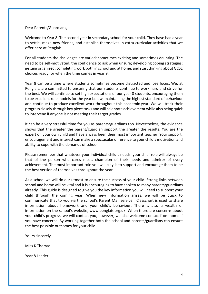Dear Parents/Guardians,

Welcome to Year 8. The second year in secondary school for your child. They have had a year to settle, make new friends, and establish themselves in extra-curricular activities that we offer here at Penglais.

For all students the challenges are varied: sometimes exciting and sometimes daunting. The need to be self-motivated; the confidence to ask when unsure; developing coping strategies; getting organised; completing work both in school and at home, and start thinking about GCSE choices ready for when the time comes in year 9.

Year 8 can be a time where students sometimes become distracted and lose focus. We, at Penglais, are committed to ensuring that our students continue to work hard and strive for the best. We will continue to set high expectations of our year 8 students, encouraging them to be excellent role models for the year below, maintaining the highest standard of behaviour and continue to produce excellent work throughout this academic year. We will track their progress closely through key piece tasks and will celebrate achievement while also being quick to intervene if anyone is not meeting their target grades.

It can be a very stressful time for you as parents/guardians too. Nevertheless, the evidence shows that the greater the parent/guardian support the greater the results. You are the expert on your own child and have always been their most important teacher. Your support, encouragement and interest can make a spectacular difference to your child's motivation and ability to cope with the demands of school.

Please remember that whatever your individual child's needs, your chief role will always be that of the person who cares most, champion of their needs and admirer of every achievement. The most important role you will play is to support and encourage them to be the best version of themselves throughout the year.

As a school we will do our utmost to ensure the success of your child. Strong links between school and home will be vital and it is encouraging to have spoken to many parents/guardians already. This guide is designed to give you the key information you will need to support your child through the coming year. When new information arises, we will be quick to communicate that to you via the school's Parent Mail service. Classchart is used to share information about homework and your child's behaviour. There is also a wealth of information on the school's website, www.penglais.org.uk. When there are concerns about your child's progress, we will contact you, however, we also welcome contact from home if you have concerns. By working together both the school and parents/guardians can ensure the best possible outcomes for your child.

Yours sincerely,

Miss K Thomas

Year 8 Leader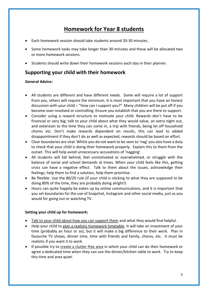### **Homework for Year 8 students**

- Each homework session should take students around 20-30 minutes.
- Some homework tasks may take longer than 30 minutes and these will be allocated two or more homework sessions.
- Students should write down their homework sessions each day in their planner.

#### **Supporting your child with their homework**

#### **General Advice:**

- All students are different and have different needs. Some will require a lot of support from you, others will require the minimum. It is most important that you have an honest discussion with your child – "How can I support you?" Many children will be put off if you become over-involved or controlling. Ensure you establish that you are there to support.
- Consider using a reward structure to motivate your child. Rewards don't have to be financial or very big; talk to your child about what they would value, an extra night out, and extension to the time they can come in, a trip with friends, being let off household chores etc. Don't make rewards dependent on results, this can lead to added disappointment if they don't do as well as expected; rewards should be based on effort.
- Clear boundaries are vital. Whilst you do not want to be seen to 'nag' you also have a duty to check that your child is doing their homework properly. Explain this to them from the outset. This will help avoid unnecessary accusations of 'nagging'.
- All students will fall behind, feel unmotivated or overwhelmed, or struggle with the balance of social and school demands at times. When your child feels like this, getting cross can have a negative effect. Talk to them about the issues, acknowledge their feelings, help them to find a solution, help them prioritise.
- Be flexible. Use the 80/20 rule (if your child is sticking to what they are supposed to be doing 80% of the time, they are probably doing alright!)
- Hours can quite happily be eaten up by online communications, and it is important that you set boundaries for the use of Snapchat, Instagram and other social media, just as you would for going out or watching TV.

#### **Setting your child up for homework:**

- Talk to your child about how you can support them and what they would find helpful.
- Help your child to plan a realistic homework timetable. It will take an investment of your time (probably an hour or so), but it will make a big difference to their work. Plan in favourite TV shows, dinner time, time with friends and family, chores, etc. It must be realistic if you want it to work.
- If possible try to create a clutter free area in which your child can do their homework or agree a dedicated time when they can use the dinner/kitchen table to work. Try to keep this time and area quiet.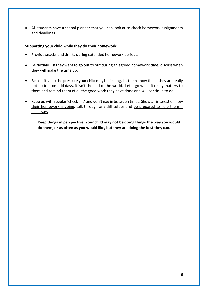• All students have a school planner that you can look at to check homework assignments and deadlines.

#### **Supporting your child while they do their homework:**

- Provide snacks and drinks during extended homework periods.
- Be flexible if they want to go out to out during an agreed homework time, discuss when they will make the time up.
- Be sensitive to the pressure your child may be feeling, let them know that if they are really not up to it on odd days, it isn't the end of the world. Let it go when it really matters to them and remind them of all the good work they have done and will continue to do.
- Keep up with regular 'check-ins' and don't nag in between times. Show an interest on how their homework is going, talk through any difficulties and be prepared to help them if necessary.

**Keep things in perspective. Your child may not be doing things the way you would do them, or as often as you would like, but they are doing the best they can.**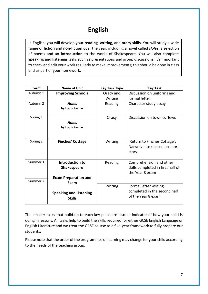## **English**

In English, you will develop your **reading**, **writing**, and **oracy skills**. You will study a wide range of **fiction** and **non-fiction** over the year, including a novel called *Holes,* a selection of poems and an **introduction** to the works of Shakespeare. You will also complete **speaking and listening** tasks such as presentations and group discussions. It's important to check and edit your work regularly to make improvements; this should be done in class and as part of your homework.

| <b>Term</b> | Name of Unit                  | <b>Key Task Type</b> | <b>Key Task</b>                   |
|-------------|-------------------------------|----------------------|-----------------------------------|
| Autumn 1    | <b>Improving Schools</b>      | Oracy and            | Discussion on uniforms and        |
|             |                               | Writing              | formal letter                     |
| Autumn 2    | <b>Holes</b>                  | Reading              | Character study essay             |
|             | by Louis Sachar               |                      |                                   |
| Spring 1    |                               | Oracy                | Discussion on town curfews        |
|             | <b>Holes</b>                  |                      |                                   |
|             | by Louis Sachar               |                      |                                   |
|             |                               |                      |                                   |
| Spring 2    | <b>Finches' Cottage</b>       | Writing              | 'Return to Finches Cottage';      |
|             |                               |                      | Narrative task based on short     |
|             |                               |                      | story                             |
|             |                               |                      |                                   |
| Summer 1    | Introduction to               | Reading              | Comprehension and other           |
|             | <b>Shakespeare</b>            |                      | skills completed in first half of |
|             |                               |                      | the Year 8 exam                   |
| Summer 2    | <b>Exam Preparation and</b>   |                      |                                   |
|             | Exam                          | Writing              | Formal letter writing             |
|             |                               |                      | completed in the second half      |
|             | <b>Speaking and Listening</b> |                      | of the Year 8 exam                |
|             | <b>Skills</b>                 |                      |                                   |
|             |                               |                      |                                   |

The smaller tasks that build up to each key piece are also an indicator of how your child is doing in lessons. All tasks help to build the skills required for either GCSE English Language or English Literature and we treat the GCSE course as a five-year framework to fully prepare our students.

Please note that the order of the programmes of learning may change for your child according to the needs of the teaching group.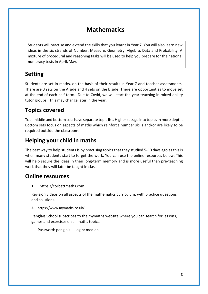### **Mathematics**

Students will practise and extend the skills that you learnt in Year 7. You will also learn new ideas in the six strands of Number, Measure, Geometry, Algebra, Data and Probability. A mixture of procedural and reasoning tasks will be used to help you prepare for the national numeracy tests in April/May.

### **Setting**

Students are set in maths, on the basis of their results in Year 7 and teacher assessments. There are 3 sets on the A side and 4 sets on the B side. There are opportunities to move set at the end of each half term. Due to Covid, we will start the year teaching in mixed ability tutor groups. This may change later in the year.

### **Topics covered**

Top, middle and bottom sets have separate topic list. Higher sets go into topics in more depth. Bottom sets focus on aspects of maths which reinforce number skills and/or are likely to be required outside the classroom.

### **Helping your child in maths**

The best way to help students is by practising topics that they studied 5-10 days ago as this is when many students start to forget the work. You can use the online resources below. This will help secure the ideas in their long-term memory and is more useful than pre-teaching work that they will later be taught in class.

#### **Online resources**

**1.** https://corbettmaths.com

Revision videos on all aspects of the mathematics curriculum, with practice questions and solutions.

**2.** https://www.mymaths.co.uk/

Penglais School subscribes to the mymaths website where you can search for lessons, games and exercises on all maths topics.

Password: penglais login: median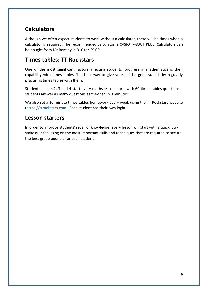### **Calculators**

Although we often expect students to work without a calculator, there will be times when a calculator is required. The recommended calculator is CASIO fx-83GT PLUS. Calculators can be bought from Mr Bentley in B10 for £9.00.

#### **Times tables: TT Rockstars**

One of the most significant factors affecting students' progress in mathematics is their capability with times tables. The best way to give your child a good start is by regularly practising times tables with them.

Students in sets 2, 3 and 4 start every maths lesson starts with 60 times tables questions – students answer as many questions as they can in 3 minutes.

We also set a 10-minute times tables homework every week using the TT Rockstars website [\(https://ttrockstars.com\)](https://ttrockstars.com/). Each student has their own login.

#### **Lesson starters**

In order to improve students' recall of knowledge, every lesson will start with a quick lowstake quiz focussing on the most important skills and techniques that are required to secure the best grade possible for each student.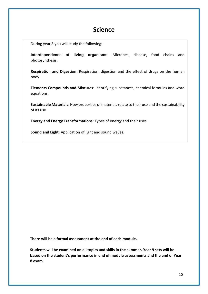#### **Science**

During year 8 you will study the following:

**Interdependence of living organisms**: Microbes, disease, food chains and photosynthesis.

**Respiration and Digestion**: Respiration, digestion and the effect of drugs on the human body.

**Elements Compounds and Mixtures**: Identifying substances, chemical formulas and word equations.

**Sustainable Materials**: How properties of materials relate to their use and the sustainability of its use.

**Energy and Energy Transformations**: Types of energy and their uses.

**Sound and Light:** Application of light and sound waves.

**There will be a formal assessment at the end of each module.** 

**Students will be examined on all topics and skills in the summer. Year 9 sets will be based on the student's performance in end of module assessments and the end of Year 8 exam.**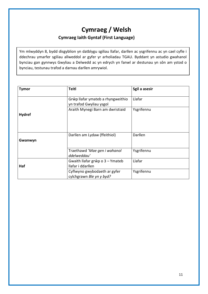### **Cymraeg / Welsh Cymraeg Iaith Gyntaf (First Language)**

Ym mlwyddyn 8, bydd disgyblion yn datblygu sgiliau llafar, darllen ac ysgrifennu ac yn cael cyfle i ddechrau ymarfer sgiliau allweddol ar gyfer yr arholiadau TGAU. Byddant yn astudio gwahanol bynciau gan gynnwys Gwyliau a Delwedd ac yn edrych yn fanwl ar destunau yn sôn am ystod o bynciau, testunau trafod a darnau darllen amrywiol.

| <b>Tymor</b>  | <b>Teitl</b>                                                 | Sgil a asesir |
|---------------|--------------------------------------------------------------|---------------|
|               | Grŵp llafar ymateb a rhyngweithio<br>yn trafod Gwyliau ysgol | Llafar        |
| <b>Hydref</b> | Araith Mynegi Barn am dwristiaid                             | Ysgrifennu    |
| Gwanwyn       | Darllen am Lydaw (ffeithiol)                                 | Darllen       |
|               | Traethawd 'Mae gen i wahanol<br>ddelweddau'                  | Ysgrifennu    |
| Haf           | Gwaith llafar grŵp o 3 - Ymateb<br>llafar i ddarllen         | Llafar        |
|               | Cyflwyno gwybodaeth ar gyfer<br>cylchgrawn Ble yn y byd?     | Ysgrifennu    |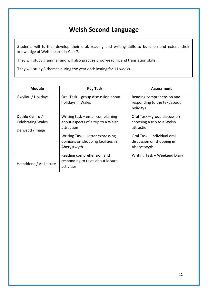## **Welsh Second Language**

Students will further develop their oral, reading and writing skills to build on and extend their knowledge of Welsh learnt in Year 7.

They will study grammar and will also practise proof-reading and translation skills.

They will study 3 themes during the year each lasting for 11 weeks.

| <b>Module</b>                                                | <b>Key Task</b>                                                                        | Assessment                                                               |
|--------------------------------------------------------------|----------------------------------------------------------------------------------------|--------------------------------------------------------------------------|
| Gwyliau / Holidays                                           | Oral Task - group discussion about<br>holidays in Wales                                | Reading comprehension and<br>responding to the text about<br>holidays    |
| Dathlu Cymru /<br><b>Celebrating Wales</b><br>Delwedd /Image | Writing $task$ – email complaining<br>about aspects of a trip to a Welsh<br>attraction | Oral Task – group discussion<br>choosing a trip to a Welsh<br>attraction |
|                                                              | Writing Task - Letter expressing<br>opinions on shopping facilities in<br>Aberystwyth  | Oral Task - Individual oral<br>discussion on shopping in<br>Aberystwyth  |
| Hamddena / At Leisure                                        | Reading comprehension and<br>responding to texts about leisure<br>activities           | Writing Task - Weekend Diary                                             |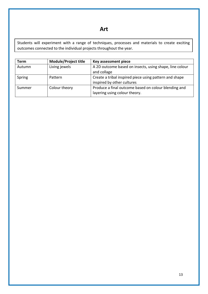#### **Art**

Students will experiment with a range of techniques, processes and materials to create exciting outcomes connected to the individual projects throughout the year.

| Term   | <b>Module/Project title</b> | Key assessment piece                                                                  |
|--------|-----------------------------|---------------------------------------------------------------------------------------|
| Autumn | Living jewels               | A 2D outcome based on insects, using shape, line colour<br>and collage                |
| Spring | Pattern                     | Create a tribal inspired piece using pattern and shape<br>inspired by other cultures  |
| Summer | Colour theory               | Produce a final outcome based on colour blending and<br>layering using colour theory. |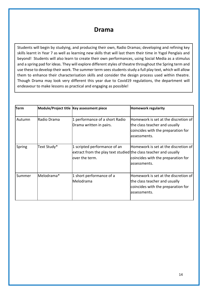### **Drama**

Students will begin by studying, and producing their own, Radio Dramas; developing and refining key skills learnt in Year 7 as well as learning new skills that will last them their time in Ysgol Penglais and beyond! Students will also learn to create their own performances, using Social Media as a stimulus and a spring pad for ideas. They will explore different styles of theatre throughout the Spring term and use these to develop their work. The summer term sees students study a full play text, which will allow them to enhance their characterisation skills and consider the design process used within theatre. Though Drama may look very different this year due to Covid19 regulations, the department will endeavour to make lessons as practical and engaging as possible!

| <b>Term</b> |             | Module/Project title Key assessment piece                                                                           | <b>Homework regularity</b>                                                                                                  |
|-------------|-------------|---------------------------------------------------------------------------------------------------------------------|-----------------------------------------------------------------------------------------------------------------------------|
| Autumn      | Radio Drama | 1 performance of a short Radio<br>Drama written in pairs.                                                           | Homework is set at the discretion of<br>the class teacher and usually<br>coincides with the preparation for<br>assessments. |
| Spring      | Text Study* | 1 scripted performance of an<br>extract from the play text studied the class teacher and usually<br>lover the term. | Homework is set at the discretion of<br>coincides with the preparation for<br>lassessments.                                 |
| Summer      | Melodrama*  | 1 short performance of a<br><b>Melodrama</b>                                                                        | Homework is set at the discretion of<br>the class teacher and usually<br>coincides with the preparation for<br>assessments. |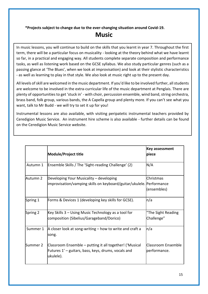#### **\*Projects subject to change due to the ever-changing situation around Covid-19. Music**

In music lessons, you will continue to build on the skills that you learnt in year 7. Throughout the first term, there will be a particular focus on musicality - looking at the theory behind what we have learnt so far, in a practical and engaging way. All students complete separate composition and performance tasks, as well as listening work based on the GCSE syllabus. We also study particular genres (such as a passing glance at 'The Blues', when we look at improvisation) and look at their stylistic characteristics - as well as learning to play in that style. We also look at music right up to the present day.

All levels of skill are welcomed in the music department. If you'd like to be involved further, all students are welcome to be involved in the extra-curricular life of the music department at Penglais. There are plenty of opportunities to get 'stuck in' - with choir, percussion ensemble, wind band, string orchestra, brass band, folk group, various bands, the A Capella group and plenty more. If you can't see what you want, talk to Mr Budd - we will try to set it up for you!

Instrumental lessons are also available, with visiting peripatetic instrumental teachers provided by Ceredigion Music Service. An instrument hire scheme is also available - further details can be found on the Ceredigion Music Service website.

|          | <b>Module/Project title</b>                                                                                                 | <b>Key assessment</b><br>piece            |
|----------|-----------------------------------------------------------------------------------------------------------------------------|-------------------------------------------|
| Autumn 1 | Ensemble Skills / The 'Sight-reading Challenge' (2)                                                                         | N/A                                       |
| Autumn 2 | Developing Your Musicality - developing<br>improvisation/vamping skills on keyboard/guitar/ukulele. Performance             | Christmas<br>(ensembles)                  |
| Spring 1 | Forms & Devices 1 (developing key skills for GCSE).                                                                         | n/a                                       |
| Spring 2 | Key Skills 3 - Using Music Technology as a tool for<br>composition (Sibelius/Garageband/Dorico)                             | "The Sight Reading<br>Challenge"          |
| Summer 1 | A closer look at song-writing - how to write and craft a<br>song.                                                           | n/a                                       |
| Summer 2 | Classroom Ensemble - putting it all together! ('Musical<br>Futures 1' - guitars, bass, keys, drums, vocals and<br>ukulele). | <b>Classroom Ensemble</b><br>performance. |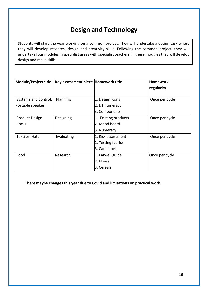### **Design and Technology**

Students will start the year working on a common project. They will undertake a design task where they will develop research, design and creativity skills. Following the common project, they will undertake four modules in specialist areas with specialist teachers. In these modules they will develop design and make skills.

| Module/Project title  | Key assessment piece Homework title |                      | <b>Homework</b> |
|-----------------------|-------------------------------------|----------------------|-----------------|
|                       |                                     |                      | regularity      |
|                       |                                     |                      |                 |
| Systems and control:  | Planning                            | 1. Design icons      | Once per cycle  |
| Portable speaker      |                                     | 2. DT numeracy       |                 |
|                       |                                     | 3. Components        |                 |
| Product Design:       | Designing                           | 1. Existing products | Once per cycle  |
| <b>Clocks</b>         |                                     | 2. Mood board        |                 |
|                       |                                     | 3. Numeracy          |                 |
| <b>Textiles: Hats</b> | Evaluating                          | 1. Risk assessment   | Once per cycle  |
|                       |                                     | 2. Testing fabrics   |                 |
|                       |                                     | 3. Care labels       |                 |
| Food                  | Research                            | 1. Eatwell guide     | Once per cycle  |
|                       |                                     | 2. Flours            |                 |
|                       |                                     | 3. Cereals           |                 |

**There maybe changes this year due to Covid and limitations on practical work.**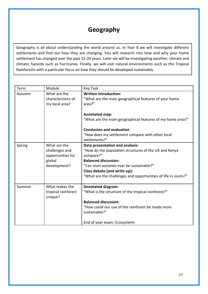### **Geography**

Geography is all about understanding the world around us. In Year 8 we will investigate different settlements and find out how they are changing. You will research into how and why your home settlement has changed over the past 15-20 years. Later we will be investigating weather, climate and climatic hazards such as hurricanes. Finally, we will visit natural environments such as the Tropical Rainforests with a particular focus on how they should be developed sustainably.

| Term   | Module                                                                        | <b>Key Task</b>                                                                                                                                                                                                                                                                    |
|--------|-------------------------------------------------------------------------------|------------------------------------------------------------------------------------------------------------------------------------------------------------------------------------------------------------------------------------------------------------------------------------|
| Autumn | What are the<br>characteristics of<br>my local area?                          | <b>Written introduction:</b><br>"What are the main geographical features of your home<br>area?"                                                                                                                                                                                    |
|        |                                                                               | Annotated map:<br>"What are the main geographical features of my home area?"                                                                                                                                                                                                       |
|        |                                                                               | <b>Conclusion and evaluation</b><br>"How does my settlement compare with other local<br>settlements?"                                                                                                                                                                              |
| Spring | What are the<br>challenges and<br>opportunities for<br>global<br>development? | Data presentation and analysis:<br>"How do the population structures of the UK and Kenya<br>compare?"<br><b>Balanced discussion:</b><br>"Can slum societies ever be sustainable?"<br>Class debate [and write-up]:<br>"What are the challenges and opportunities of life in slums?" |
| Summer | What makes the<br>tropical rainforest<br>unique?                              | <b>Annotated diagram:</b><br>"What is the structure of the tropical rainforest?"<br><b>Balanced discussion:</b><br>"How could our use of the rainforest be made more<br>sustainable?"<br>End of year exam: Ecosystems                                                              |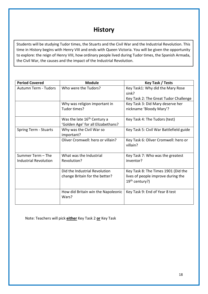### **History**

Students will be studying Tudor times, the Stuarts and the Civil War and the Industrial Revolution. This time in History begins with Henry VIII and ends with Queen Victoria. You will be given the opportunity to explore: the reign of Henry VIII, how ordinary people lived during Tudor times, the Spanish Armada, the Civil War, the causes and the impact of the Industrial Revolution.

| <b>Period Covered</b>        | <b>Module</b>                           | Key Task / Tests                                 |
|------------------------------|-----------------------------------------|--------------------------------------------------|
| <b>Autumn Term - Tudors</b>  | Who were the Tudors?                    | Key Task1: Why did the Mary Rose                 |
|                              |                                         | sink?                                            |
|                              |                                         | Key Task 2: The Great Tudor Challenge            |
|                              | Why was religion important in           | Key Task 3: Did Mary deserve her                 |
|                              | Tudor times?                            | nickname 'Bloody Mary'?                          |
|                              | Was the late 16 <sup>th</sup> Century a | Key Task 4: The Tudors (test)                    |
|                              | 'Golden Age' for all Elizabethans?      |                                                  |
| <b>Spring Term - Stuarts</b> | Why was the Civil War so                | Key Task 5: Civil War Battlefield guide          |
|                              | important?                              |                                                  |
|                              | Oliver Cromwell: hero or villain?       | Key Task 6: Oliver Cromwell: hero or<br>villain? |
| Summer Term - The            | What was the Industrial                 | Key Task 7: Who was the greatest                 |
| <b>Industrial Revolution</b> | Revolution?                             | inventor?                                        |
|                              | Did the Industrial Revolution           | Key Task 8: The Times 1901 (Did the              |
|                              | change Britain for the better?          | lives of people improve during the               |
|                              |                                         | 19 <sup>th</sup> century?)                       |
|                              | How did Britain win the Napoleonic      | Key Task 9: End of Year 8 test                   |
|                              | Wars?                                   |                                                  |

Note: Teachers will pick **either** Key Task 2 **or** Key Task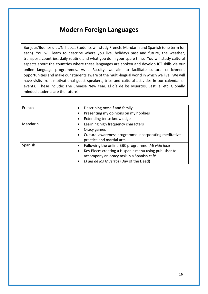### **Modern Foreign Languages**

Bonjour/Buenos días/Ni hao…. Students will study French, Mandarin and Spanish (one term for each). You will learn to describe where you live, holidays past and future, the weather, transport, countries, daily routine and what you do in your spare time. You will study cultural aspects about the countries where these languages are spoken and develop ICT skills via our online language programmes. As a Faculty, we aim to facilitate cultural enrichment opportunities and make our students aware of the multi-lingual world in which we live. We will have visits from motivational guest speakers, trips and cultural activities in our calendar of events. These include: The Chinese New Year, El día de los Muertos, Bastille, etc. Globally minded students are the future!

| French   | Describing myself and family<br>$\bullet$                     |
|----------|---------------------------------------------------------------|
|          | Presenting my opinions on my hobbies<br>٠                     |
|          | Extending tense knowledge                                     |
| Mandarin | Learning high frequency characters<br>$\bullet$               |
|          | Oracy games                                                   |
|          | Cultural awareness programme incorporating meditative         |
|          | practice and martial arts                                     |
| Spanish  | Following the online BBC programme: Mi vida loca<br>$\bullet$ |
|          | Key Piece: creating a Hispanic menu using publisher to        |
|          | accompany an oracy task in a Spanish café                     |
|          | El día de los Muertos (Day of the Dead)                       |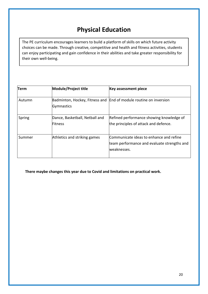### **Physical Education**

The PE curriculum encourages learners to build a platform of skills on which future activity choices can be made. Through creative, competitive and health and fitness activities, students can enjoy participating and gain confidence in their abilities and take greater responsibility for their own well-being.

| Term   | Module/Project title                              | <b>Key assessment piece</b>                                                                            |
|--------|---------------------------------------------------|--------------------------------------------------------------------------------------------------------|
| Autumn | Badminton, Hockey, Fitness and<br>Gymnastics      | End of module routine on inversion                                                                     |
| Spring | Dance, Basketball, Netball and<br><b>IFitness</b> | Refined performance showing knowledge of<br>the principles of attack and defence.                      |
| Summer | Athletics and striking games                      | Communicate ideas to enhance and refine<br>team performance and evaluate strengths and<br>lweaknesses. |

**There maybe changes this year due to Covid and limitations on practical work.**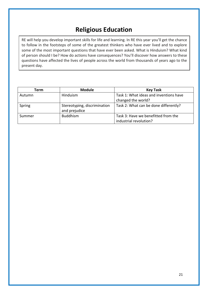### **Religious Education**

RE will help you develop important skills for life and learning. In RE this year you'll get the chance to follow in the footsteps of some of the greatest thinkers who have ever lived and to explore some of the most important questions that have ever been asked. What is Hinduism? What kind of person should I be? How do actions have consequences? You'll discover how answers to these questions have affected the lives of people across the world from thousands of years ago to the present day.

| Term   | <b>Module</b>                | <b>Key Task</b>                        |
|--------|------------------------------|----------------------------------------|
| Autumn | Hinduism                     | Task 1: What ideas and inventions have |
|        |                              | changed the world?                     |
| Spring | Stereotyping, discrimination | Task 2: What can be done differently?  |
|        | and prejudice                |                                        |
| Summer | <b>Buddhism</b>              | Task 3: Have we benefitted from the    |
|        |                              | industrial revolution?                 |